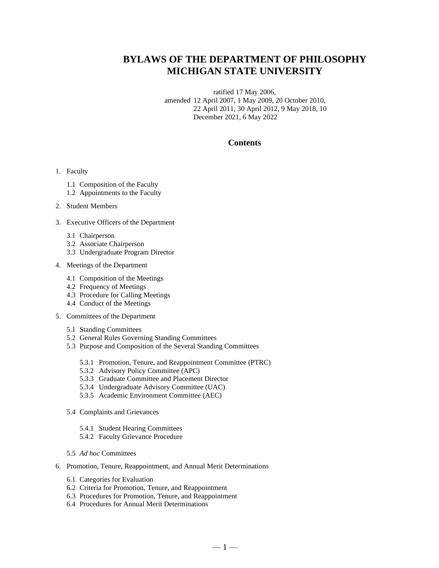## **BYLAWS OF THE DEPARTMENT OF PHILOSOPHY MICHIGAN STATE UNIVERSITY**

ratified 17 May 2006, amended 12 April 2007, 1 May 2009, 20 October 2010, 22 April 2011, 30 April 2012, 9 May 2018, 10 December 2021, 6 May 2022

## **Contents**

#### 1. Faculty

- 1.1 Composition of the Faculty
- 1.2 Appointments to the Faculty

### 2. Student Members

- 3. Executive Officers of the Department
	- 3.1 Chairperson
	- 3.2 Associate Chairperson
	- 3.3 Undergraduate Program Director
- 4. Meetings of the Department
	- 4.1 Composition of the Meetings
	- 4.2 Frequency of Meetings
	- 4.3 Procedure for Calling Meetings
	- 4.4 Conduct of the Meetings
- 5. Committees of the Department
	- 5.1 Standing Committees
	- 5.2 General Rules Governing Standing Committees
	- 5.3 Purpose and Composition of the Several Standing Committees
		- 5.3.1 Promotion, Tenure, and Reappointment Committee (PTRC)
		- 5.3.2 Advisory Policy Committee (APC)
		- 5.3.3 Graduate Committee and Placement Director
		- 5.3.4 Undergraduate Advisory Committee (UAC)
		- 5.3.5 Academic Environment Committee (AEC)
	- 5.4 Complaints and Grievances
		- 5.4.1 Student Hearing Committees
		- 5.4.2 Faculty Grievance Procedure
	- 5.5 *Ad hoc* Committees
- 6. Promotion, Tenure, Reappointment, and Annual Merit Determinations
	- 6.1 Categories for Evaluation
	- 6.2 Criteria for Promotion, Tenure, and Reappointment
	- 6.3 Procedures for Promotion, Tenure, and Reappointment
	- 6.4 Procedures for Annual Merit Determinations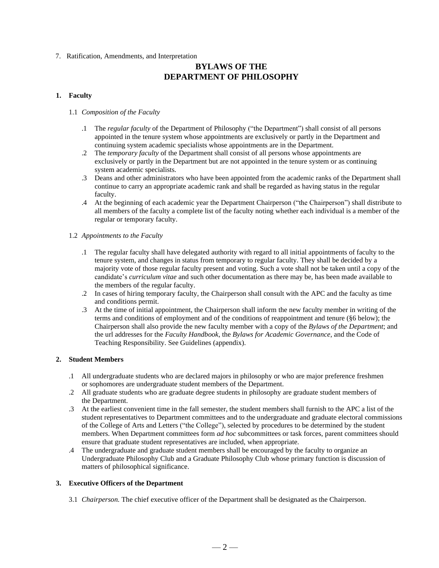7. Ratification, Amendments, and Interpretation

## **BYLAWS OF THE DEPARTMENT OF PHILOSOPHY**

## **1. Faculty**

### 1.1 *Composition of the Faculty*

- .1 The *regular faculty* of the Department of Philosophy ("the Department") shall consist of all persons appointed in the tenure system whose appointments are exclusively or partly in the Department and continuing system academic specialists whose appointments are in the Department.
- .2 The *temporary faculty* of the Department shall consist of all persons whose appointments are exclusively or partly in the Department but are not appointed in the tenure system or as continuing system academic specialists.
- .3 Deans and other administrators who have been appointed from the academic ranks of the Department shall continue to carry an appropriate academic rank and shall be regarded as having status in the regular faculty.
- .4 At the beginning of each academic year the Department Chairperson ("the Chairperson") shall distribute to all members of the faculty a complete list of the faculty noting whether each individual is a member of the regular or temporary faculty.

### 1.2 *Appointments to the Faculty*

- .1 The regular faculty shall have delegated authority with regard to all initial appointments of faculty to the tenure system, and changes in status from temporary to regular faculty. They shall be decided by a majority vote of those regular faculty present and voting. Such a vote shall not be taken until a copy of the candidate's *curriculum vitae* and such other documentation as there may be*,* has been made available to the members of the regular faculty.
- .2 In cases of hiring temporary faculty, the Chairperson shall consult with the APC and the faculty as time and conditions permit.
- .3 At the time of initial appointment, the Chairperson shall inform the new faculty member in writing of the terms and conditions of employment and of the conditions of reappointment and tenure (§6 below); the Chairperson shall also provide the new faculty member with a copy of the *Bylaws of the Department*; and the url addresses for the *Faculty Handbook*, the *Bylaws for Academic Governance*, and the Code of Teaching Responsibility. See Guidelines (appendix).

## **2. Student Members**

- .1 All undergraduate students who are declared majors in philosophy or who are major preference freshmen or sophomores are undergraduate student members of the Department.
- .2 All graduate students who are graduate degree students in philosophy are graduate student members of the Department.
- .3 At the earliest convenient time in the fall semester, the student members shall furnish to the APC a list of the student representatives to Department committees and to the undergraduate and graduate electoral commissions of the College of Arts and Letters ("the College"), selected by procedures to be determined by the student members. When Department committees form *ad hoc* subcommittees or task forces, parent committees should ensure that graduate student representatives are included, when appropriate.
- .4 The undergraduate and graduate student members shall be encouraged by the faculty to organize an Undergraduate Philosophy Club and a Graduate Philosophy Club whose primary function is discussion of matters of philosophical significance.

## **3. Executive Officers of the Department**

3.1 *Chairperson.* The chief executive officer of the Department shall be designated as the Chairperson.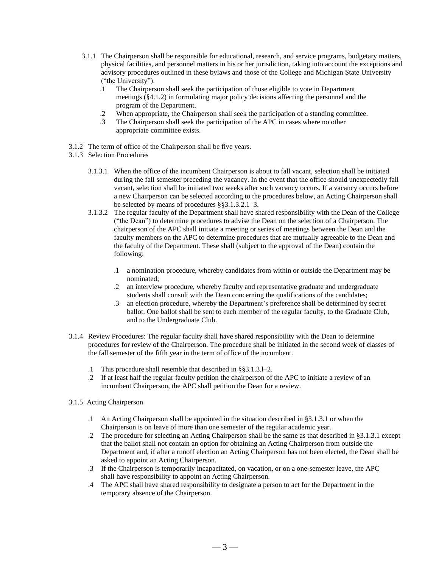- 3.1.1 The Chairperson shall be responsible for educational, research, and service programs, budgetary matters, physical facilities, and personnel matters in his or her jurisdiction, taking into account the exceptions and advisory procedures outlined in these bylaws and those of the College and Michigan State University ("the University").
	- .1 The Chairperson shall seek the participation of those eligible to vote in Department meetings (§4.1.2) in formulating major policy decisions affecting the personnel and the program of the Department.
	- .2 When appropriate, the Chairperson shall seek the participation of a standing committee.
	- .3 The Chairperson shall seek the participation of the APC in cases where no other appropriate committee exists.
- 3.1.2 The term of office of the Chairperson shall be five years.
- 3.1.3 Selection Procedures
	- 3.1.3.1 When the office of the incumbent Chairperson is about to fall vacant, selection shall be initiated during the fall semester preceding the vacancy. In the event that the office should unexpectedly fall vacant, selection shall be initiated two weeks after such vacancy occurs. If a vacancy occurs before a new Chairperson can be selected according to the procedures below, an Acting Chairperson shall be selected by means of procedures §§3.1.3.2.1–3.
	- 3.1.3.2 The regular faculty of the Department shall have shared responsibility with the Dean of the College ("the Dean") to determine procedures to advise the Dean on the selection of a Chairperson. The chairperson of the APC shall initiate a meeting or series of meetings between the Dean and the faculty members on the APC to determine procedures that are mutually agreeable to the Dean and the faculty of the Department. These shall (subject to the approval of the Dean) contain the following:
		- .1 a nomination procedure, whereby candidates from within or outside the Department may be nominated;
		- .2 an interview procedure, whereby faculty and representative graduate and undergraduate students shall consult with the Dean concerning the qualifications of the candidates;
		- .3 an election procedure, whereby the Department's preference shall be determined by secret ballot. One ballot shall be sent to each member of the regular faculty, to the Graduate Club, and to the Undergraduate Club.
- 3.1.4 Review Procedures: The regular faculty shall have shared responsibility with the Dean to determine procedures for review of the Chairperson. The procedure shall be initiated in the second week of classes of the fall semester of the fifth year in the term of office of the incumbent.
	- .1 This procedure shall resemble that described in §§3.1.3.l–2.
	- .2 If at least half the regular faculty petition the chairperson of the APC to initiate a review of an incumbent Chairperson, the APC shall petition the Dean for a review.
- 3.1.5 Acting Chairperson
	- .1 An Acting Chairperson shall be appointed in the situation described in §3.1.3.1 or when the Chairperson is on leave of more than one semester of the regular academic year.
	- .2 The procedure for selecting an Acting Chairperson shall be the same as that described in §3.1.3.1 except that the ballot shall not contain an option for obtaining an Acting Chairperson from outside the Department and, if after a runoff election an Acting Chairperson has not been elected, the Dean shall be asked to appoint an Acting Chairperson.
	- .3 If the Chairperson is temporarily incapacitated, on vacation, or on a one-semester leave, the APC shall have responsibility to appoint an Acting Chairperson.
	- .4 The APC shall have shared responsibility to designate a person to act for the Department in the temporary absence of the Chairperson.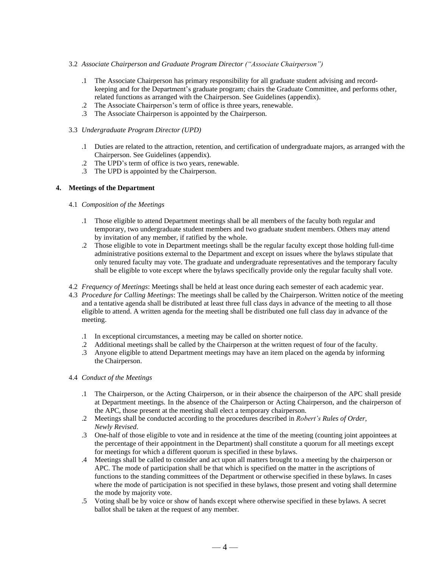## 3.2 *Associate Chairperson and Graduate Program Director ("Associate Chairperson")*

- .1 The Associate Chairperson has primary responsibility for all graduate student advising and recordkeeping and for the Department's graduate program; chairs the Graduate Committee, and performs other, related functions as arranged with the Chairperson. See Guidelines (appendix).
- .2 The Associate Chairperson's term of office is three years, renewable.
- .3 The Associate Chairperson is appointed by the Chairperson.

### 3.3 *Undergraduate Program Director (UPD)*

- .1 Duties are related to the attraction, retention, and certification of undergraduate majors, as arranged with the Chairperson. See Guidelines (appendix).
- .2 The UPD's term of office is two years, renewable.
- .3 The UPD is appointed by the Chairperson.

## **4. Meetings of the Department**

### 4.1 *Composition of the Meetings*

- .1 Those eligible to attend Department meetings shall be all members of the faculty both regular and temporary, two undergraduate student members and two graduate student members. Others may attend by invitation of any member, if ratified by the whole.
- .2 Those eligible to vote in Department meetings shall be the regular faculty except those holding full-time administrative positions external to the Department and except on issues where the bylaws stipulate that only tenured faculty may vote. The graduate and undergraduate representatives and the temporary faculty shall be eligible to vote except where the bylaws specifically provide only the regular faculty shall vote.
- 4.2 *Frequency of Meetings*: Meetings shall be held at least once during each semester of each academic year.
- 4.3 *Procedure for Calling Meetings*: The meetings shall be called by the Chairperson. Written notice of the meeting and a tentative agenda shall be distributed at least three full class days in advance of the meeting to all those eligible to attend. A written agenda for the meeting shall be distributed one full class day in advance of the meeting.
	- .1 In exceptional circumstances, a meeting may be called on shorter notice.
	- .2 Additional meetings shall be called by the Chairperson at the written request of four of the faculty.
	- .3 Anyone eligible to attend Department meetings may have an item placed on the agenda by informing the Chairperson.
- 4.4 *Conduct of the Meetings*
	- .1 The Chairperson, or the Acting Chairperson, or in their absence the chairperson of the APC shall preside at Department meetings. In the absence of the Chairperson or Acting Chairperson, and the chairperson of the APC, those present at the meeting shall elect a temporary chairperson.
	- .2 Meetings shall be conducted according to the procedures described in *Robert's Rules of Order*, *Newly Revised*.
	- .3 One-half of those eligible to vote and in residence at the time of the meeting (counting joint appointees at the percentage of their appointment in the Department) shall constitute a quorum for all meetings except for meetings for which a different quorum is specified in these bylaws.
	- .4 Meetings shall be called to consider and act upon all matters brought to a meeting by the chairperson or APC. The mode of participation shall be that which is specified on the matter in the ascriptions of functions to the standing committees of the Department or otherwise specified in these bylaws. In cases where the mode of participation is not specified in these bylaws, those present and voting shall determine the mode by majority vote.
	- .5 Voting shall be by voice or show of hands except where otherwise specified in these bylaws. A secret ballot shall be taken at the request of any member.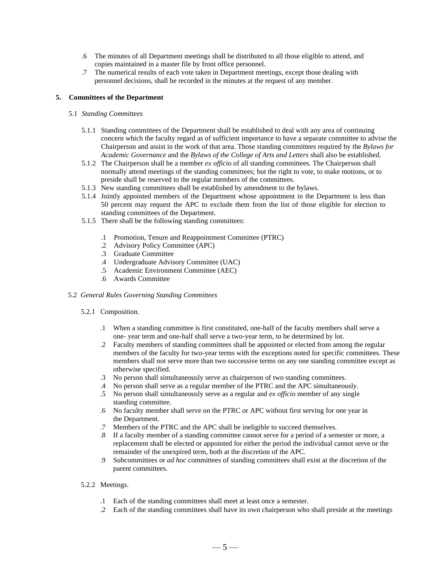- .6 The minutes of all Department meetings shall be distributed to all those eligible to attend, and copies maintained in a master file by front office personnel.
- .7 The numerical results of each vote taken in Department meetings, except those dealing with personnel decisions, shall be recorded in the minutes at the request of any member.

## **5. Committees of the Department**

## 5.1 *Standing Committees*

- 5.1.1 Standing committees of the Department shall be established to deal with any area of continuing concern which the faculty regard as of sufficient importance to have a separate committee to advise the Chairperson and assist in the work of that area. Those standing committees required by the *Bylaws for Academic Governance* and the *Bylaws of the College of Arts and Letters* shall also be established.
- 5.1.2 The Chairperson shall be a member *ex officio* of all standing committees. The Chairperson shall normally attend meetings of the standing committees; but the right to vote, to make motions, or to preside shall be reserved to the regular members of the committees.
- 5.1.3 New standing committees shall be established by amendment to the bylaws.
- 5.1.4 Jointly appointed members of the Department whose appointment in the Department is less than 50 percent may request the APC to exclude them from the list of those eligible for election to standing committees of the Department.
- 5.1.5 There shall be the following standing committees:
	- .1 Promotion, Tenure and Reappointment Committee (PTRC)
	- .2 Advisory Policy Committee (APC)
	- .3 Graduate Committee
	- .4 Undergraduate Advisory Committee (UAC)
	- .5 Academic Environment Committee (AEC)
	- .6 Awards Committee

#### 5.2 *General Rules Governing Standing Committees*

#### 5.2.1 Composition.

- .1 When a standing committee is first constituted, one-half of the faculty members shall serve a one- year term and one-half shall serve a two-year term, to be determined by lot.
- .2 Faculty members of standing committees shall be appointed or elected from among the regular members of the faculty for two-year terms with the exceptions noted for specific committees. These members shall not serve more than two successive terms on any one standing committee except as otherwise specified.
- .3 No person shall simultaneously serve as chairperson of two standing committees.
- .4 No person shall serve as a regular member of the PTRC and the APC simultaneously.
- .5 No person shall simultaneously serve as a regular and *ex officio* member of any single standing committee.
- .6 No faculty member shall serve on the PTRC or APC without first serving for one year in the Department.
- .7 Members of the PTRC and the APC shall be ineligible to succeed themselves.
- .8 If a faculty member of a standing committee cannot serve for a period of a semester or more, a replacement shall be elected or appointed for either the period the individual cannot serve or the remainder of the unexpired term, both at the discretion of the APC.
- .9 Subcommittees or *ad hoc* committees of standing committees shall exist at the discretion of the parent committees.
- 5.2.2 Meetings.
	- .1 Each of the standing committees shall meet at least once a semester.
	- .2 Each of the standing committees shall have its own chairperson who shall preside at the meetings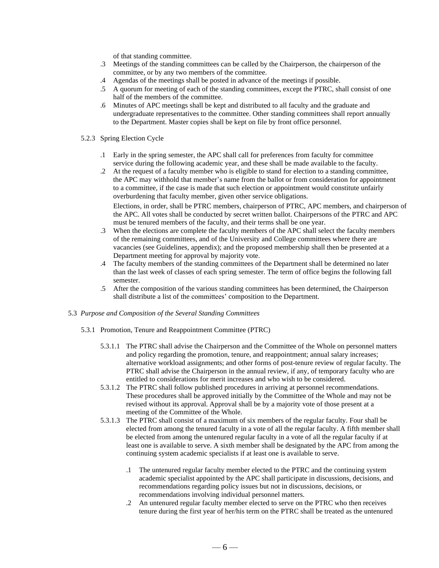of that standing committee.

- .3 Meetings of the standing committees can be called by the Chairperson, the chairperson of the committee, or by any two members of the committee.
- .4 Agendas of the meetings shall be posted in advance of the meetings if possible.
- .5 A quorum for meeting of each of the standing committees, except the PTRC, shall consist of one half of the members of the committee.
- .6 Minutes of APC meetings shall be kept and distributed to all faculty and the graduate and undergraduate representatives to the committee. Other standing committees shall report annually to the Department. Master copies shall be kept on file by front office personnel.
- 5.2.3 Spring Election Cycle
	- .1 Early in the spring semester, the APC shall call for preferences from faculty for committee service during the following academic year, and these shall be made available to the faculty.
	- .2 At the request of a faculty member who is eligible to stand for election to a standing committee, the APC may withhold that member's name from the ballot or from consideration for appointment to a committee, if the case is made that such election or appointment would constitute unfairly overburdening that faculty member, given other service obligations.

Elections, in order, shall be PTRC members, chairperson of PTRC, APC members, and chairperson of the APC. All votes shall be conducted by secret written ballot. Chairpersons of the PTRC and APC must be tenured members of the faculty, and their terms shall be one year.

- .3 When the elections are complete the faculty members of the APC shall select the faculty members of the remaining committees, and of the University and College committees where there are vacancies (see Guidelines, appendix); and the proposed membership shall then be presented at a Department meeting for approval by majority vote.
- .4 The faculty members of the standing committees of the Department shall be determined no later than the last week of classes of each spring semester. The term of office begins the following fall semester.
- .5 After the composition of the various standing committees has been determined, the Chairperson shall distribute a list of the committees' composition to the Department.

#### 5.3 *Purpose and Composition of the Several Standing Committees*

- 5.3.1 Promotion, Tenure and Reappointment Committee (PTRC)
	- 5.3.1.1 The PTRC shall advise the Chairperson and the Committee of the Whole on personnel matters and policy regarding the promotion, tenure, and reappointment; annual salary increases; alternative workload assignments; and other forms of post-tenure review of regular faculty. The PTRC shall advise the Chairperson in the annual review, if any, of temporary faculty who are entitled to considerations for merit increases and who wish to be considered.
	- 5.3.1.2 The PTRC shall follow published procedures in arriving at personnel recommendations. These procedures shall be approved initially by the Committee of the Whole and may not be revised without its approval. Approval shall be by a majority vote of those present at a meeting of the Committee of the Whole.
	- 5.3.1.3 The PTRC shall consist of a maximum of six members of the regular faculty. Four shall be elected from among the tenured faculty in a vote of all the regular faculty. A fifth member shall be elected from among the untenured regular faculty in a vote of all the regular faculty if at least one is available to serve. A sixth member shall be designated by the APC from among the continuing system academic specialists if at least one is available to serve.
		- .1 The untenured regular faculty member elected to the PTRC and the continuing system academic specialist appointed by the APC shall participate in discussions, decisions, and recommendations regarding policy issues but not in discussions, decisions, or recommendations involving individual personnel matters.
		- .2 An untenured regular faculty member elected to serve on the PTRC who then receives tenure during the first year of her/his term on the PTRC shall be treated as the untenured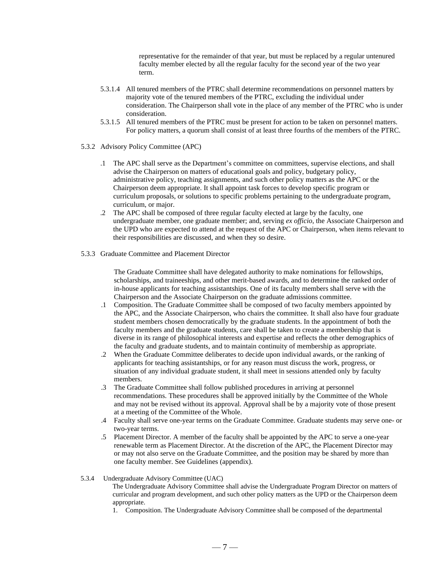representative for the remainder of that year, but must be replaced by a regular untenured faculty member elected by all the regular faculty for the second year of the two year term.

- 5.3.1.4 All tenured members of the PTRC shall determine recommendations on personnel matters by majority vote of the tenured members of the PTRC, excluding the individual under consideration. The Chairperson shall vote in the place of any member of the PTRC who is under consideration.
- 5.3.1.5 All tenured members of the PTRC must be present for action to be taken on personnel matters. For policy matters, a quorum shall consist of at least three fourths of the members of the PTRC.
- 5.3.2 Advisory Policy Committee (APC)
	- .1 The APC shall serve as the Department's committee on committees, supervise elections, and shall advise the Chairperson on matters of educational goals and policy, budgetary policy, administrative policy, teaching assignments, and such other policy matters as the APC or the Chairperson deem appropriate. It shall appoint task forces to develop specific program or curriculum proposals, or solutions to specific problems pertaining to the undergraduate program, curriculum, or major.
	- .2 The APC shall be composed of three regular faculty elected at large by the faculty, one undergraduate member, one graduate member; and, serving *ex officio*, the Associate Chairperson and the UPD who are expected to attend at the request of the APC or Chairperson, when items relevant to their responsibilities are discussed, and when they so desire.
- 5.3.3 Graduate Committee and Placement Director

The Graduate Committee shall have delegated authority to make nominations for fellowships, scholarships, and traineeships, and other merit-based awards, and to determine the ranked order of in-house applicants for teaching assistantships. One of its faculty members shall serve with the Chairperson and the Associate Chairperson on the graduate admissions committee.

- .1 Composition. The Graduate Committee shall be composed of two faculty members appointed by the APC, and the Associate Chairperson, who chairs the committee. It shall also have four graduate student members chosen democratically by the graduate students. In the appointment of both the faculty members and the graduate students, care shall be taken to create a membership that is diverse in its range of philosophical interests and expertise and reflects the other demographics of the faculty and graduate students, and to maintain continuity of membership as appropriate.
- .2 When the Graduate Committee deliberates to decide upon individual awards, or the ranking of applicants for teaching assistantships, or for any reason must discuss the work, progress, or situation of any individual graduate student, it shall meet in sessions attended only by faculty members.
- .3 The Graduate Committee shall follow published procedures in arriving at personnel recommendations. These procedures shall be approved initially by the Committee of the Whole and may not be revised without its approval. Approval shall be by a majority vote of those present at a meeting of the Committee of the Whole.
- .4 Faculty shall serve one-year terms on the Graduate Committee. Graduate students may serve one- or two-year terms.
- .5 Placement Director. A member of the faculty shall be appointed by the APC to serve a one-year renewable term as Placement Director. At the discretion of the APC, the Placement Director may or may not also serve on the Graduate Committee, and the position may be shared by more than one faculty member. See Guidelines (appendix).

#### 5.3.4 Undergraduate Advisory Committee (UAC)

The Undergraduate Advisory Committee shall advise the Undergraduate Program Director on matters of curricular and program development, and such other policy matters as the UPD or the Chairperson deem appropriate.

1. Composition. The Undergraduate Advisory Committee shall be composed of the departmental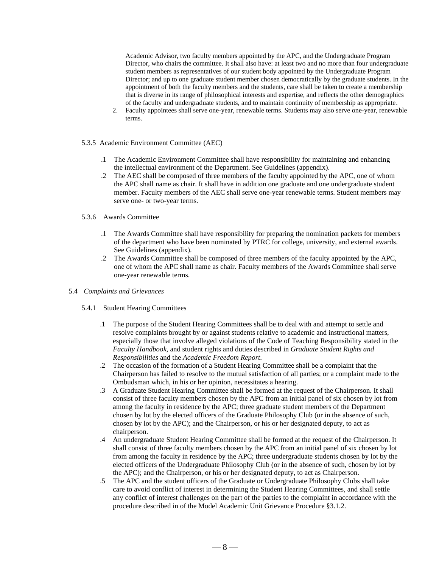Academic Advisor, two faculty members appointed by the APC, and the Undergraduate Program Director, who chairs the committee. It shall also have: at least two and no more than four undergraduate student members as representatives of our student body appointed by the Undergraduate Program Director; and up to one graduate student member chosen democratically by the graduate students. In the appointment of both the faculty members and the students, care shall be taken to create a membership that is diverse in its range of philosophical interests and expertise, and reflects the other demographics of the faculty and undergraduate students, and to maintain continuity of membership as appropriate.

- 2. Faculty appointees shall serve one-year, renewable terms. Students may also serve one-year, renewable terms.
- 5.3.5 Academic Environment Committee (AEC)
	- .1 The Academic Environment Committee shall have responsibility for maintaining and enhancing the intellectual environment of the Department. See Guidelines (appendix).
	- .2 The AEC shall be composed of three members of the faculty appointed by the APC, one of whom the APC shall name as chair. It shall have in addition one graduate and one undergraduate student member. Faculty members of the AEC shall serve one-year renewable terms. Student members may serve one- or two-year terms.
- 5.3.6 Awards Committee
	- .1 The Awards Committee shall have responsibility for preparing the nomination packets for members of the department who have been nominated by PTRC for college, university, and external awards. See Guidelines (appendix).
	- .2 The Awards Committee shall be composed of three members of the faculty appointed by the APC, one of whom the APC shall name as chair. Faculty members of the Awards Committee shall serve one-year renewable terms.
- 5.4 *Complaints and Grievances*
	- 5.4.1 Student Hearing Committees
		- .1 The purpose of the Student Hearing Committees shall be to deal with and attempt to settle and resolve complaints brought by or against students relative to academic and instructional matters, especially those that involve alleged violations of the Code of Teaching Responsibility stated in the *Faculty Handbook*, and student rights and duties described in *Graduate Student Rights and Responsibilities* and the *Academic Freedom Report*.
		- .2 The occasion of the formation of a Student Hearing Committee shall be a complaint that the Chairperson has failed to resolve to the mutual satisfaction of all parties; or a complaint made to the Ombudsman which, in his or her opinion, necessitates a hearing.
		- .3 A Graduate Student Hearing Committee shall be formed at the request of the Chairperson. It shall consist of three faculty members chosen by the APC from an initial panel of six chosen by lot from among the faculty in residence by the APC; three graduate student members of the Department chosen by lot by the elected officers of the Graduate Philosophy Club (or in the absence of such, chosen by lot by the APC); and the Chairperson, or his or her designated deputy, to act as chairperson.
		- .4 An undergraduate Student Hearing Committee shall be formed at the request of the Chairperson. It shall consist of three faculty members chosen by the APC from an initial panel of six chosen by lot from among the faculty in residence by the APC; three undergraduate students chosen by lot by the elected officers of the Undergraduate Philosophy Club (or in the absence of such, chosen by lot by the APC); and the Chairperson, or his or her designated deputy, to act as Chairperson.
		- .5 The APC and the student officers of the Graduate or Undergraduate Philosophy Clubs shall take care to avoid conflict of interest in determining the Student Hearing Committees, and shall settle any conflict of interest challenges on the part of the parties to the complaint in accordance with the procedure described in of the Model Academic Unit Grievance Procedure §3.1.2.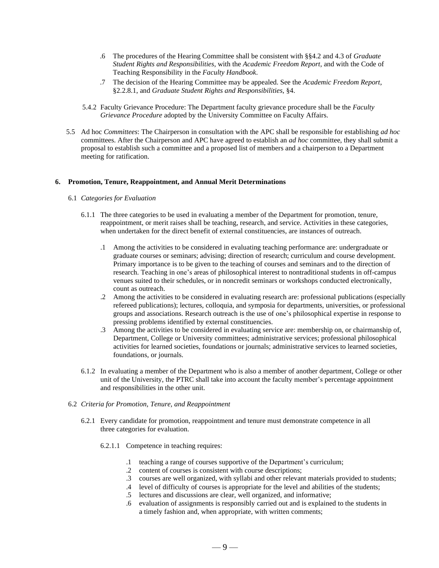- .6 The procedures of the Hearing Committee shall be consistent with §§4.2 and 4.3 of *Graduate Student Rights and Responsibilities*, with the *Academic Freedom Report*, and with the Code of Teaching Responsibility in the *Faculty Handbook*.
- .7 The decision of the Hearing Committee may be appealed. See the *Academic Freedom Report*, §2.2.8.1, and *Graduate Student Rights and Responsibilities*, §4.
- 5.4.2 Faculty Grievance Procedure: The Department faculty grievance procedure shall be the *Faculty Grievance Procedure* adopted by the University Committee on Faculty Affairs.
- 5.5 Ad hoc *Committees*: The Chairperson in consultation with the APC shall be responsible for establishing *ad hoc* committees. After the Chairperson and APC have agreed to establish an *ad hoc* committee, they shall submit a proposal to establish such a committee and a proposed list of members and a chairperson to a Department meeting for ratification.

### **6. Promotion, Tenure, Reappointment, and Annual Merit Determinations**

#### 6.1 *Categories for Evaluation*

- 6.1.1 The three categories to be used in evaluating a member of the Department for promotion, tenure, reappointment, or merit raises shall be teaching, research, and service. Activities in these categories, when undertaken for the direct benefit of external constituencies, are instances of outreach.
	- .1 Among the activities to be considered in evaluating teaching performance are: undergraduate or graduate courses or seminars; advising; direction of research; curriculum and course development. Primary importance is to be given to the teaching of courses and seminars and to the direction of research. Teaching in one's areas of philosophical interest to nontraditional students in off-campus venues suited to their schedules, or in noncredit seminars or workshops conducted electronically, count as outreach.
	- .2 Among the activities to be considered in evaluating research are: professional publications (especially refereed publications); lectures, colloquia, and symposia for departments, universities, or professional groups and associations. Research outreach is the use of one's philosophical expertise in response to pressing problems identified by external constituencies.
	- .3 Among the activities to be considered in evaluating service are: membership on, or chairmanship of, Department, College or University committees; administrative services; professional philosophical activities for learned societies, foundations or journals; administrative services to learned societies, foundations, or journals.
- 6.1.2 In evaluating a member of the Department who is also a member of another department, College or other unit of the University, the PTRC shall take into account the faculty member's percentage appointment and responsibilities in the other unit.

#### 6.2 *Criteria for Promotion, Tenure, and Reappointment*

- 6.2.1 Every candidate for promotion, reappointment and tenure must demonstrate competence in all three categories for evaluation.
	- 6.2.1.1 Competence in teaching requires:
		- .1 teaching a range of courses supportive of the Department's curriculum;
		- .2 content of courses is consistent with course descriptions;
		- .3 courses are well organized, with syllabi and other relevant materials provided to students;
		- .4 level of difficulty of courses is appropriate for the level and abilities of the students;
		- .5 lectures and discussions are clear, well organized, and informative;
		- .6 evaluation of assignments is responsibly carried out and is explained to the students in a timely fashion and, when appropriate, with written comments;

 $-9-$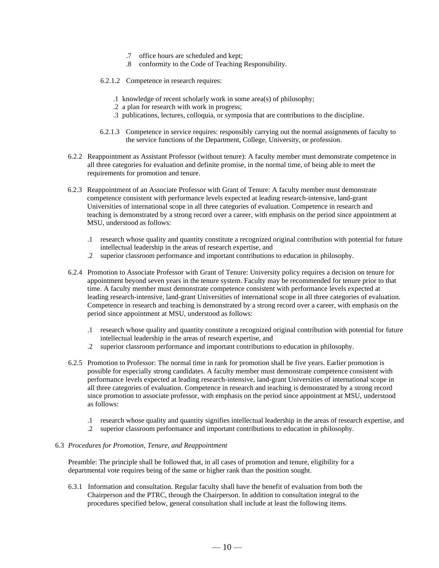- .7 office hours are scheduled and kept;
- .8 conformity to the Code of Teaching Responsibility.
- 6.2.1.2 Competence in research requires:
	- .1 knowledge of recent scholarly work in some area(s) of philosophy;
	- .2 a plan for research with work in progress;
	- .3 publications, lectures, colloquia, or symposia that are contributions to the discipline.
- 6.2.1.3 Competence in service requires: responsibly carrying out the normal assignments of faculty to the service functions of the Department, College, University, or profession.
- 6.2.2 Reappointment as Assistant Professor (without tenure): A faculty member must demonstrate competence in all three categories for evaluation and definite promise, in the normal time, of being able to meet the requirements for promotion and tenure.
- 6.2.3 Reappointment of an Associate Professor with Grant of Tenure: A faculty member must demonstrate competence consistent with performance levels expected at leading research-intensive, land-grant Universities of international scope in all three categories of evaluation. Competence in research and teaching is demonstrated by a strong record over a career, with emphasis on the period since appointment at MSU, understood as follows:
	- .1 research whose quality and quantity constitute a recognized original contribution with potential for future intellectual leadership in the areas of research expertise, and
	- .2 superior classroom performance and important contributions to education in philosophy.
- 6.2.4 Promotion to Associate Professor with Grant of Tenure: University policy requires a decision on tenure for appointment beyond seven years in the tenure system. Faculty may be recommended for tenure prior to that time. A faculty member must demonstrate competence consistent with performance levels expected at leading research-intensive, land-grant Universities of international scope in all three categories of evaluation. Competence in research and teaching is demonstrated by a strong record over a career, with emphasis on the period since appointment at MSU, understood as follows:
	- .1 research whose quality and quantity constitute a recognized original contribution with potential for future intellectual leadership in the areas of research expertise, and
	- .2 superior classroom performance and important contributions to education in philosophy.
- 6.2.5 Promotion to Professor: The normal time in rank for promotion shall be five years. Earlier promotion is possible for especially strong candidates. A faculty member must demonstrate competence consistent with performance levels expected at leading research-intensive, land-grant Universities of international scope in all three categories of evaluation. Competence in research and teaching is demonstrated by a strong record since promotion to associate professor, with emphasis on the period since appointment at MSU, understood as follows:
	- .1 research whose quality and quantity signifies intellectual leadership in the areas of research expertise, and
	- .2 superior classroom performance and important contributions to education in philosophy.

## 6.3 *Procedures for Promotion, Tenure, and Reappointment*

Preamble: The principle shall be followed that, in all cases of promotion and tenure, eligibility for a departmental vote requires being of the same or higher rank than the position sought.

6.3.1 Information and consultation. Regular faculty shall have the benefit of evaluation from both the Chairperson and the PTRC, through the Chairperson. In addition to consultation integral to the procedures specified below, general consultation shall include at least the following items.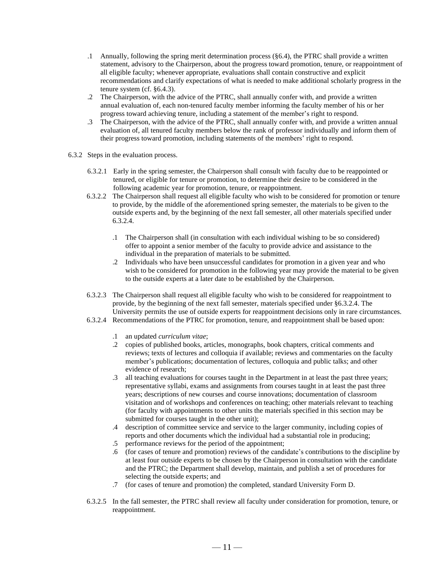- .1 Annually, following the spring merit determination process (§6.4), the PTRC shall provide a written statement, advisory to the Chairperson, about the progress toward promotion, tenure, or reappointment of all eligible faculty; whenever appropriate, evaluations shall contain constructive and explicit recommendations and clarify expectations of what is needed to make additional scholarly progress in the tenure system (cf. §6.4.3).
- .2 The Chairperson, with the advice of the PTRC, shall annually confer with, and provide a written annual evaluation of, each non-tenured faculty member informing the faculty member of his or her progress toward achieving tenure, including a statement of the member's right to respond.
- .3 The Chairperson, with the advice of the PTRC, shall annually confer with, and provide a written annual evaluation of, all tenured faculty members below the rank of professor individually and inform them of their progress toward promotion, including statements of the members' right to respond.
- 6.3.2 Steps in the evaluation process.
	- 6.3.2.1 Early in the spring semester, the Chairperson shall consult with faculty due to be reappointed or tenured, or eligible for tenure or promotion, to determine their desire to be considered in the following academic year for promotion, tenure, or reappointment.
	- 6.3.2.2 The Chairperson shall request all eligible faculty who wish to be considered for promotion or tenure to provide, by the middle of the aforementioned spring semester, the materials to be given to the outside experts and, by the beginning of the next fall semester, all other materials specified under 6.3.2.4.
		- .1 The Chairperson shall (in consultation with each individual wishing to be so considered) offer to appoint a senior member of the faculty to provide advice and assistance to the individual in the preparation of materials to be submitted.
		- .2 Individuals who have been unsuccessful candidates for promotion in a given year and who wish to be considered for promotion in the following year may provide the material to be given to the outside experts at a later date to be established by the Chairperson.
	- 6.3.2.3 The Chairperson shall request all eligible faculty who wish to be considered for reappointment to provide, by the beginning of the next fall semester, materials specified under §6.3.2.4. The University permits the use of outside experts for reappointment decisions only in rare circumstances.
	- 6.3.2.4 Recommendations of the PTRC for promotion, tenure, and reappointment shall be based upon:
		- .1 an updated *curriculum vitae*;
		- .2 copies of published books, articles, monographs, book chapters, critical comments and reviews; texts of lectures and colloquia if available; reviews and commentaries on the faculty member's publications; documentation of lectures, colloquia and public talks; and other evidence of research;
		- .3 all teaching evaluations for courses taught in the Department in at least the past three years; representative syllabi, exams and assignments from courses taught in at least the past three years; descriptions of new courses and course innovations; documentation of classroom visitation and of workshops and conferences on teaching; other materials relevant to teaching (for faculty with appointments to other units the materials specified in this section may be submitted for courses taught in the other unit);
		- .4 description of committee service and service to the larger community, including copies of reports and other documents which the individual had a substantial role in producing;
		- .5 performance reviews for the period of the appointment;
		- .6 (for cases of tenure and promotion) reviews of the candidate's contributions to the discipline by at least four outside experts to be chosen by the Chairperson in consultation with the candidate and the PTRC; the Department shall develop, maintain, and publish a set of procedures for selecting the outside experts; and
		- .7 (for cases of tenure and promotion) the completed, standard University Form D.
	- 6.3.2.5 In the fall semester, the PTRC shall review all faculty under consideration for promotion, tenure, or reappointment.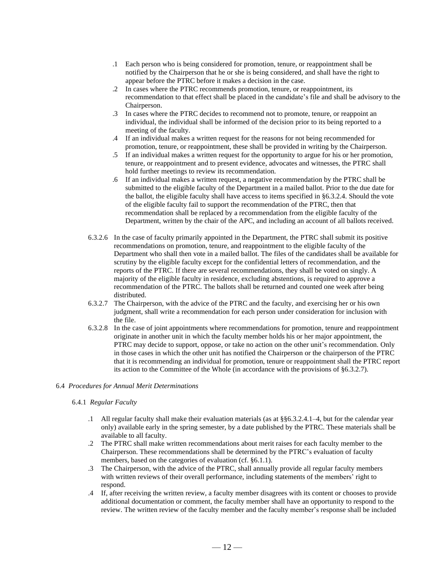- .1 Each person who is being considered for promotion, tenure, or reappointment shall be notified by the Chairperson that he or she is being considered, and shall have the right to appear before the PTRC before it makes a decision in the case.
- .2 In cases where the PTRC recommends promotion, tenure, or reappointment, its recommendation to that effect shall be placed in the candidate's file and shall be advisory to the Chairperson.
- .3 In cases where the PTRC decides to recommend not to promote, tenure, or reappoint an individual, the individual shall be informed of the decision prior to its being reported to a meeting of the faculty.
- .4 If an individual makes a written request for the reasons for not being recommended for promotion, tenure, or reappointment, these shall be provided in writing by the Chairperson.
- .5 If an individual makes a written request for the opportunity to argue for his or her promotion, tenure, or reappointment and to present evidence, advocates and witnesses, the PTRC shall hold further meetings to review its recommendation.
- .6 If an individual makes a written request, a negative recommendation by the PTRC shall be submitted to the eligible faculty of the Department in a mailed ballot. Prior to the due date for the ballot, the eligible faculty shall have access to items specified in §6.3.2.4. Should the vote of the eligible faculty fail to support the recommendation of the PTRC, then that recommendation shall be replaced by a recommendation from the eligible faculty of the Department, written by the chair of the APC, and including an account of all ballots received.
- 6.3.2.6 In the case of faculty primarily appointed in the Department, the PTRC shall submit its positive recommendations on promotion, tenure, and reappointment to the eligible faculty of the Department who shall then vote in a mailed ballot. The files of the candidates shall be available for scrutiny by the eligible faculty except for the confidential letters of recommendation, and the reports of the PTRC. If there are several recommendations, they shall be voted on singly. A majority of the eligible faculty in residence, excluding abstentions, is required to approve a recommendation of the PTRC. The ballots shall be returned and counted one week after being distributed.
- 6.3.2.7 The Chairperson, with the advice of the PTRC and the faculty, and exercising her or his own judgment, shall write a recommendation for each person under consideration for inclusion with the file.
- 6.3.2.8 In the case of joint appointments where recommendations for promotion, tenure and reappointment originate in another unit in which the faculty member holds his or her major appointment, the PTRC may decide to support, oppose, or take no action on the other unit's recommendation. Only in those cases in which the other unit has notified the Chairperson or the chairperson of the PTRC that it is recommending an individual for promotion, tenure or reappointment shall the PTRC report its action to the Committee of the Whole (in accordance with the provisions of §6.3.2.7).

## 6.4 *Procedures for Annual Merit Determinations*

## 6.4.1 *Regular Faculty*

- .1 All regular faculty shall make their evaluation materials (as at §§6.3.2.4.1–4, but for the calendar year only) available early in the spring semester, by a date published by the PTRC. These materials shall be available to all faculty.
- .2 The PTRC shall make written recommendations about merit raises for each faculty member to the Chairperson. These recommendations shall be determined by the PTRC's evaluation of faculty members, based on the categories of evaluation (cf. §6.1.1).
- .3 The Chairperson, with the advice of the PTRC, shall annually provide all regular faculty members with written reviews of their overall performance, including statements of the members' right to respond.
- .4 If, after receiving the written review, a faculty member disagrees with its content or chooses to provide additional documentation or comment, the faculty member shall have an opportunity to respond to the review. The written review of the faculty member and the faculty member's response shall be included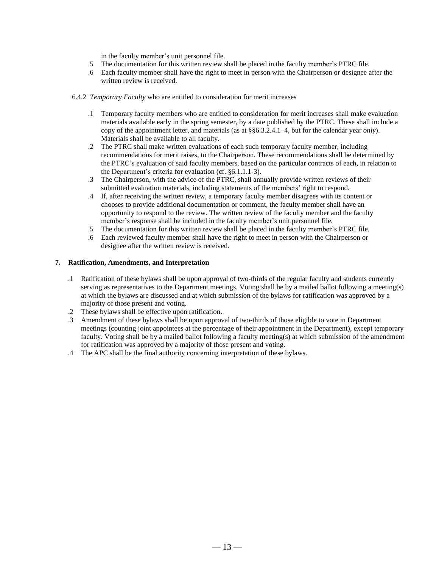in the faculty member's unit personnel file.

- .5 The documentation for this written review shall be placed in the faculty member's PTRC file.
- .6 Each faculty member shall have the right to meet in person with the Chairperson or designee after the written review is received.
- 6.4.2 *Temporary Faculty* who are entitled to consideration for merit increases
	- .1 Temporary faculty members who are entitled to consideration for merit increases shall make evaluation materials available early in the spring semester, by a date published by the PTRC. These shall include a copy of the appointment letter, and materials (as at §§6.3.2.4.1–4, but for the calendar year *only*). Materials shall be available to all faculty.
	- .2 The PTRC shall make written evaluations of each such temporary faculty member, including recommendations for merit raises, to the Chairperson. These recommendations shall be determined by the PTRC's evaluation of said faculty members, based on the particular contracts of each, in relation to the Department's criteria for evaluation (cf. §6.1.1.1-3).
	- .3 The Chairperson, with the advice of the PTRC, shall annually provide written reviews of their submitted evaluation materials, including statements of the members' right to respond.
	- .4 If, after receiving the written review, a temporary faculty member disagrees with its content or chooses to provide additional documentation or comment, the faculty member shall have an opportunity to respond to the review. The written review of the faculty member and the faculty member's response shall be included in the faculty member's unit personnel file.
	- .5 The documentation for this written review shall be placed in the faculty member's PTRC file.
	- .6 Each reviewed faculty member shall have the right to meet in person with the Chairperson or designee after the written review is received.

### **7. Ratification, Amendments, and Interpretation**

- .1 Ratification of these bylaws shall be upon approval of two-thirds of the regular faculty and students currently serving as representatives to the Department meetings. Voting shall be by a mailed ballot following a meeting(s) at which the bylaws are discussed and at which submission of the bylaws for ratification was approved by a majority of those present and voting.
- .2 These bylaws shall be effective upon ratification.
- .3 Amendment of these bylaws shall be upon approval of two-thirds of those eligible to vote in Department meetings (counting joint appointees at the percentage of their appointment in the Department), except temporary faculty. Voting shall be by a mailed ballot following a faculty meeting(s) at which submission of the amendment for ratification was approved by a majority of those present and voting.
- .4 The APC shall be the final authority concerning interpretation of these bylaws.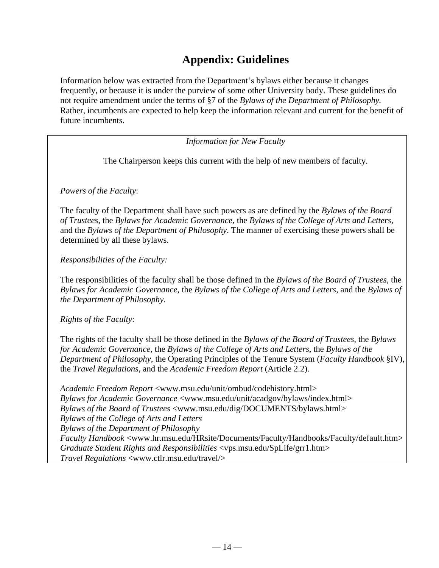# **Appendix: Guidelines**

Information below was extracted from the Department's bylaws either because it changes frequently, or because it is under the purview of some other University body. These guidelines do not require amendment under the terms of §7 of the *Bylaws of the Department of Philosophy.* Rather, incumbents are expected to help keep the information relevant and current for the benefit of future incumbents.

*Information for New Faculty*

The Chairperson keeps this current with the help of new members of faculty.

*Powers of the Faculty*:

The faculty of the Department shall have such powers as are defined by the *Bylaws of the Board of Trustees*, the *Bylaws for Academic Governance*, the *Bylaws of the College of Arts and Letters*, and the *Bylaws of the Department of Philosophy*. The manner of exercising these powers shall be determined by all these bylaws.

*Responsibilities of the Faculty:*

The responsibilities of the faculty shall be those defined in the *Bylaws of the Board of Trustees*, the *Bylaws for Academic Governance*, the *Bylaws of the College of Arts and Letters*, and the *Bylaws of the Department of Philosophy.*

*Rights of the Faculty*:

The rights of the faculty shall be those defined in the *Bylaws of the Board of Trustees*, the *Bylaws for Academic Governance*, the *Bylaws of the College of Arts and Letters*, the *Bylaws of the Department of Philosophy*, the Operating Principles of the Tenure System (*Faculty Handbook* §IV), the *Travel Regulations*, and the *Academic Freedom Report* (Article 2.2).

*Academic Freedom Report* [<www.msu.edu/unit/ombud/codehistory.html>](http://www.msu.edu/unit/ombud/codehistory.html) *Bylaws for Academic Governance* [<www.msu.edu/unit/acadgov/bylaws/index.html>](http://www.msu.edu/unit/acadgov/bylaws/index.html) *Bylaws of the Board of Trustees* [<www.msu.edu/dig/DOCUMENTS/bylaws.html>](http://www.msu.edu/dig/DOCUMENTS/bylaws.html) *Bylaws of the College of Arts and Letters Bylaws of the Department of Philosophy Faculty Handbook* [<www.hr.msu.edu/HRsite/Documents/Faculty/Handbooks/Faculty/default.htm>](http://www.hr.msu.edu/HRsite/Documents/Faculty/Handbooks/Faculty/default.htm) *Graduate Student Rights and Responsibilities* <vps.msu.edu/SpLife/grr1.htm> *Travel Regulations* [<www.ctlr.msu.edu/travel/>](http://www.ctlr.msu.edu/travel/)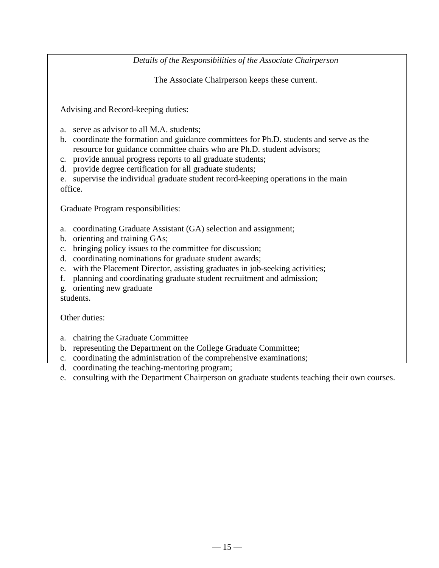*Details of the Responsibilities of the Associate Chairperson*

The Associate Chairperson keeps these current.

Advising and Record-keeping duties:

- a. serve as advisor to all M.A. students;
- b. coordinate the formation and guidance committees for Ph.D. students and serve as the resource for guidance committee chairs who are Ph.D. student advisors;
- c. provide annual progress reports to all graduate students;
- d. provide degree certification for all graduate students;

e. supervise the individual graduate student record-keeping operations in the main office.

Graduate Program responsibilities:

- a. coordinating Graduate Assistant (GA) selection and assignment;
- b. orienting and training GAs;
- c. bringing policy issues to the committee for discussion;
- d. coordinating nominations for graduate student awards;
- e. with the Placement Director, assisting graduates in job-seeking activities;
- f. planning and coordinating graduate student recruitment and admission;
- g. orienting new graduate students.

Other duties:

- a. chairing the Graduate Committee
- b. representing the Department on the College Graduate Committee;
- c. coordinating the administration of the comprehensive examinations;
- d. coordinating the teaching-mentoring program;
- e. consulting with the Department Chairperson on graduate students teaching their own courses.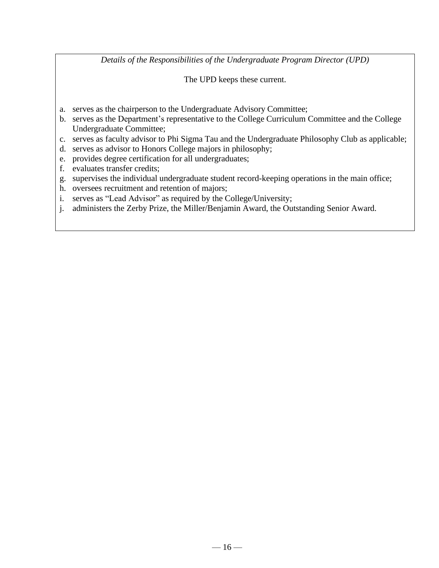*Details of the Responsibilities of the Undergraduate Program Director (UPD)*

The UPD keeps these current.

- a. serves as the chairperson to the Undergraduate Advisory Committee;
- b. serves as the Department's representative to the College Curriculum Committee and the College Undergraduate Committee;
- c. serves as faculty advisor to Phi Sigma Tau and the Undergraduate Philosophy Club as applicable;
- d. serves as advisor to Honors College majors in philosophy;
- e. provides degree certification for all undergraduates;
- f. evaluates transfer credits;
- g. supervises the individual undergraduate student record-keeping operations in the main office;
- h. oversees recruitment and retention of majors;
- i. serves as "Lead Advisor" as required by the College/University;
- j. administers the Zerby Prize, the Miller/Benjamin Award, the Outstanding Senior Award.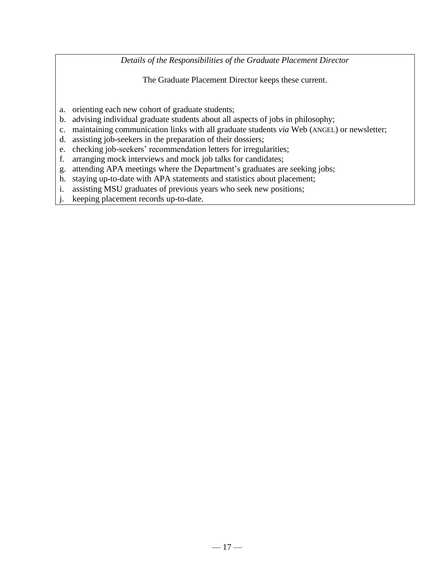*Details of the Responsibilities of the Graduate Placement Director*

The Graduate Placement Director keeps these current.

- a. orienting each new cohort of graduate students;
- b. advising individual graduate students about all aspects of jobs in philosophy;
- c. maintaining communication links with all graduate students *via* Web (ANGEL) or newsletter;
- d. assisting job-seekers in the preparation of their dossiers;
- e. checking job-seekers' recommendation letters for irregularities;
- f. arranging mock interviews and mock job talks for candidates;
- g. attending APA meetings where the Department's graduates are seeking jobs;
- h. staying up-to-date with APA statements and statistics about placement;
- i. assisting MSU graduates of previous years who seek new positions;
- j. keeping placement records up-to-date.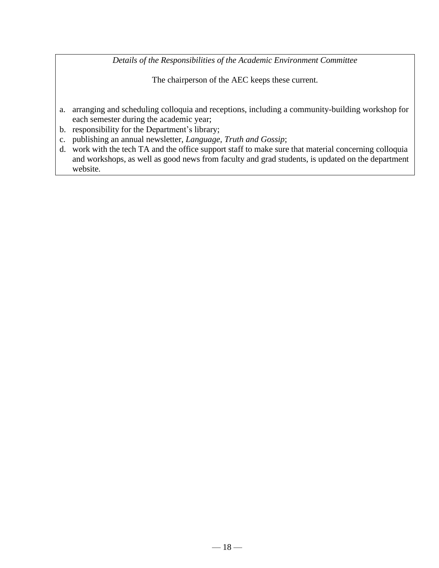*Details of the Responsibilities of the Academic Environment Committee*

The chairperson of the AEC keeps these current.

- a. arranging and scheduling colloquia and receptions, including a community-building workshop for each semester during the academic year;
- b. responsibility for the Department's library;

e. publishing a monthly internal e-mail newsletter;

- c. publishing an annual newsletter, *Language, Truth and Gossip*;
- d. work with the tech TA and the office support staff to make sure that material concerning colloquia and workshops, as well as good news from faculty and grad students, is updated on the department website.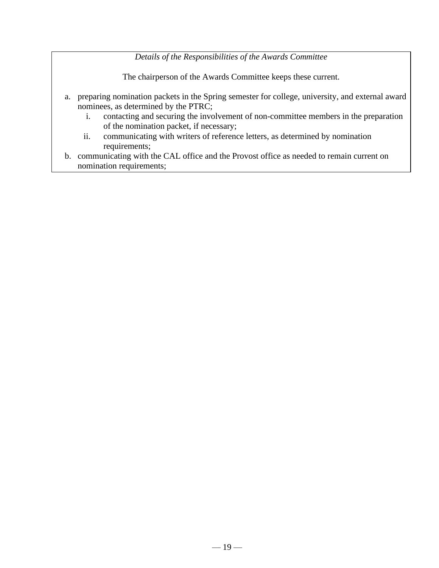*Details of the Responsibilities of the Awards Committee*

The chairperson of the Awards Committee keeps these current.

- a. preparing nomination packets in the Spring semester for college, university, and external award nominees, as determined by the PTRC;
	- i. contacting and securing the involvement of non-committee members in the preparation of the nomination packet, if necessary;
	- ii. communicating with writers of reference letters, as determined by nomination requirements;
- b. communicating with the CAL office and the Provost office as needed to remain current on nomination requirements;

c. adjusting and finalizing and finalizing nomination packets prepared by the DAC in the previous year in the p